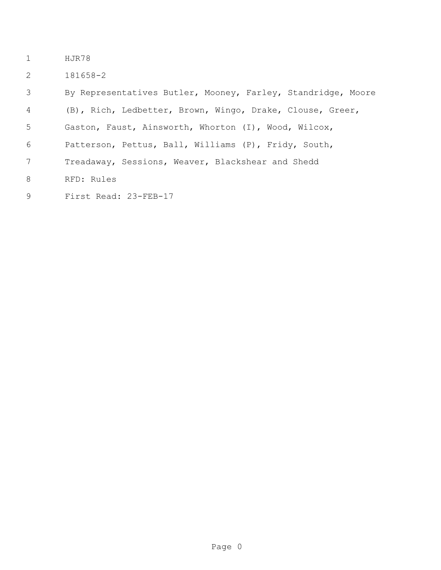- HJR78
- 181658-2

| 3 | By Representatives Butler, Mooney, Farley, Standridge, Moore |  |  |
|---|--------------------------------------------------------------|--|--|
| 4 | (B), Rich, Ledbetter, Brown, Wingo, Drake, Clouse, Greer,    |  |  |
| 5 | Gaston, Faust, Ainsworth, Whorton (I), Wood, Wilcox,         |  |  |
| 6 | Patterson, Pettus, Ball, Williams (P), Fridy, South,         |  |  |
| 7 | Treadaway, Sessions, Weaver, Blackshear and Shedd            |  |  |
| 8 | RFD: Rules                                                   |  |  |
| 9 | First Read: 23-FEB-17                                        |  |  |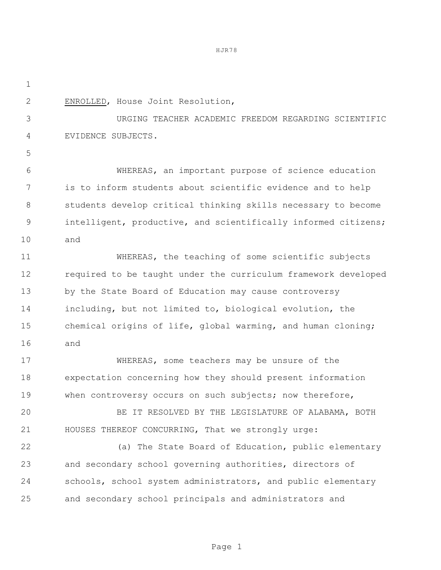HJR78

 ENROLLED, House Joint Resolution, URGING TEACHER ACADEMIC FREEDOM REGARDING SCIENTIFIC EVIDENCE SUBJECTS. WHEREAS, an important purpose of science education is to inform students about scientific evidence and to help students develop critical thinking skills necessary to become intelligent, productive, and scientifically informed citizens; and WHEREAS, the teaching of some scientific subjects required to be taught under the curriculum framework developed by the State Board of Education may cause controversy including, but not limited to, biological evolution, the chemical origins of life, global warming, and human cloning; and WHEREAS, some teachers may be unsure of the expectation concerning how they should present information when controversy occurs on such subjects; now therefore, BE IT RESOLVED BY THE LEGISLATURE OF ALABAMA, BOTH HOUSES THEREOF CONCURRING, That we strongly urge: (a) The State Board of Education, public elementary and secondary school governing authorities, directors of schools, school system administrators, and public elementary and secondary school principals and administrators and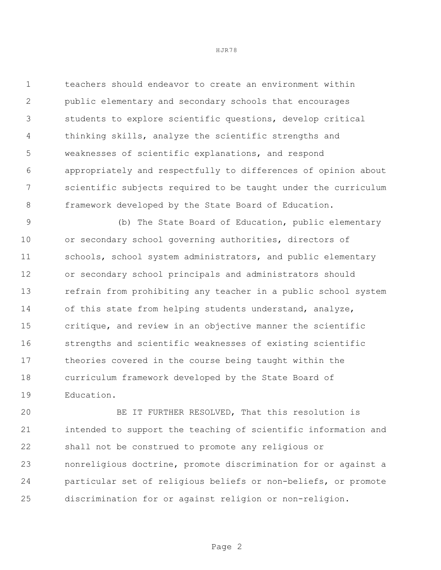teachers should endeavor to create an environment within public elementary and secondary schools that encourages students to explore scientific questions, develop critical thinking skills, analyze the scientific strengths and weaknesses of scientific explanations, and respond appropriately and respectfully to differences of opinion about scientific subjects required to be taught under the curriculum framework developed by the State Board of Education.

 (b) The State Board of Education, public elementary or secondary school governing authorities, directors of 11 schools, school system administrators, and public elementary or secondary school principals and administrators should refrain from prohibiting any teacher in a public school system of this state from helping students understand, analyze, critique, and review in an objective manner the scientific strengths and scientific weaknesses of existing scientific theories covered in the course being taught within the curriculum framework developed by the State Board of Education.

 BE IT FURTHER RESOLVED, That this resolution is intended to support the teaching of scientific information and shall not be construed to promote any religious or nonreligious doctrine, promote discrimination for or against a particular set of religious beliefs or non-beliefs, or promote discrimination for or against religion or non-religion.

HJR78